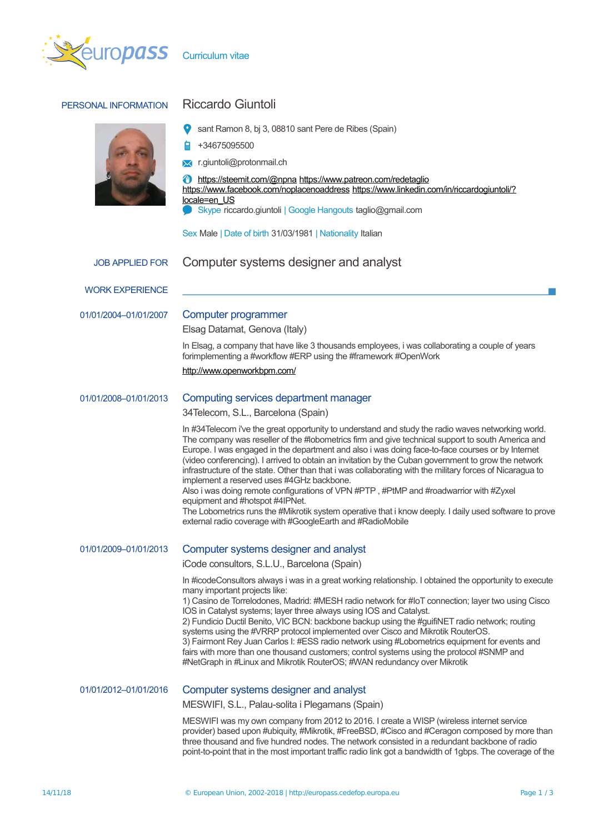

# PERSONAL INFORMATION Riccardo Giuntoli



sant Ramon 8, bj 3, 08810 sant Pere de Ribes (Spain)

+34675095500

**X** r.giuntoli@protonmail.ch

<https://steemit.com/@npna> <https://www.patreon.com/redetaglio> <https://www.facebook.com/noplacenoaddress> [https://www.linkedin.com/in/riccardogiuntoli/?](https://www.linkedin.com/in/riccardogiuntoli/?locale=en_US) [locale=en\\_US](https://www.linkedin.com/in/riccardogiuntoli/?locale=en_US) Skype riccardo.giuntoli | Google Hangouts taglio@gmail.com

Sex Male | Date of birth 31/03/1981 | Nationality Italian

WORK EXPERIENCE

### 01/01/2004–01/01/2007 Computer programmer

Elsag Datamat, Genova (Italy)

In Elsag, a company that have like 3 thousands employees, i was collaborating a couple of years forimplementing a #workflow #ERP using the #framework #OpenWork

<http://www.openworkbpm.com/>

### 01/01/2008–01/01/2013 Computing services department manager

34Telecom, S.L., Barcelona (Spain)

In #34Telecom i've the great opportunity to understand and study the radio waves networking world. The company was reseller of the #lobometrics firm and give technical support to south America and Europe. I was engaged in the department and also i was doing face-to-face courses or by Internet (video conferencing). I arrived to obtain an invitation by the Cuban government to grow the network infrastructure of the state. Other than that i was collaborating with the military forces of Nicaragua to implement a reserved uses #4GHz backbone.

Also i was doing remote configurations of VPN #PTP , #PtMP and #roadwarrior with #Zyxel equipment and #hotspot #4IPNet.

The Lobometrics runs the #Mikrotik system operative that i know deeply. I daily used software to prove external radio coverage with #GoogleEarth and #RadioMobile

## 01/01/2009–01/01/2013 Computer systems designer and analyst

iCode consultors, S.L.U., Barcelona (Spain)

In #icodeConsultors always i was in a great working relationship. I obtained the opportunity to execute many important projects like:

1) Casino de Torrelodones, Madrid: #MESH radio network for #IoT connection; layer two using Cisco IOS in Catalyst systems; layer three always using IOS and Catalyst.

2) Fundicio Ductil Benito, VIC BCN: backbone backup using the #guifiNET radio network; routing systems using the #VRRP protocol implemented over Cisco and Mikrotik RouterOS. 3) Fairmont Rey Juan Carlos I: #ESS radio network using #Lobometrics equipment for events and fairs with more than one thousand customers; control systems using the protocol #SNMP and #NetGraph in #Linux and Mikrotik RouterOS; #WAN redundancy over Mikrotik

### 01/01/2012–01/01/2016 Computer systems designer and analyst

MESWIFI, S.L., Palau-solita i Plegamans (Spain)

MESWIFI was my own company from 2012 to 2016. I create a WISP (wireless internet service provider) based upon #ubiquity, #Mikrotik, #FreeBSD, #Cisco and #Ceragon composed by more than three thousand and five hundred nodes. The network consisted in a redundant backbone of radio point-to-point that in the most important traffic radio link got a bandwidth of 1gbps. The coverage of the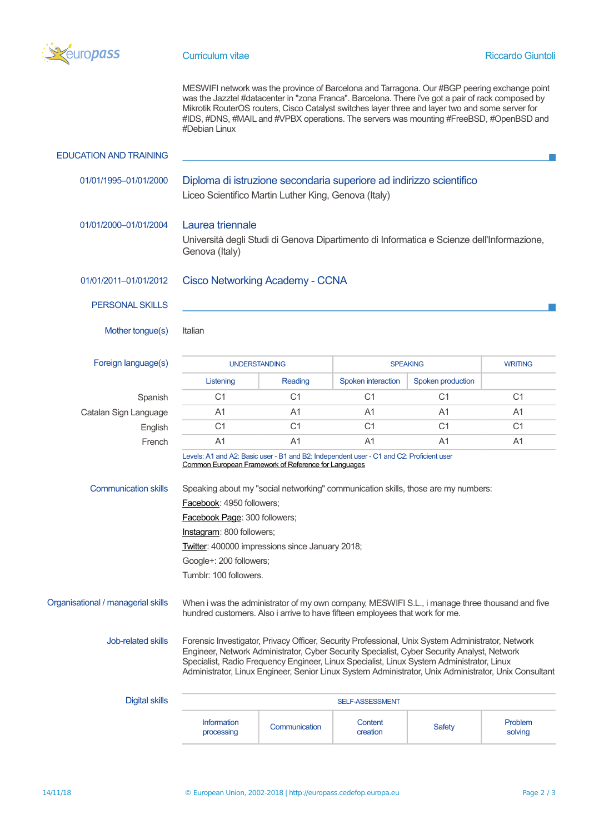

MESWIFI network was the province of Barcelona and Tarragona. Our #BGP peering exchange point was the Jazztel #datacenter in "zona Franca". Barcelona. There i've got a pair of rack composed by Mikrotik RouterOS routers, Cisco Catalyst switches layer three and layer two and some server for #IDS, #DNS, #MAIL and #VPBX operations. The servers was mounting #FreeBSD, #OpenBSD and #Debian Linux

| <b>EDUCATION AND TRAINING</b>      |                                                                                                                                                                                                                                                                                                                                                                                                                                          |                 |                     |                   |                    |  |  |
|------------------------------------|------------------------------------------------------------------------------------------------------------------------------------------------------------------------------------------------------------------------------------------------------------------------------------------------------------------------------------------------------------------------------------------------------------------------------------------|-----------------|---------------------|-------------------|--------------------|--|--|
| 01/01/1995-01/01/2000              | Diploma di istruzione secondaria superiore ad indirizzo scientifico<br>Liceo Scientifico Martin Luther King, Genova (Italy)                                                                                                                                                                                                                                                                                                              |                 |                     |                   |                    |  |  |
| 01/01/2000-01/01/2004              | Laurea triennale<br>Università degli Studi di Genova Dipartimento di Informatica e Scienze dell'Informazione,<br>Genova (Italy)                                                                                                                                                                                                                                                                                                          |                 |                     |                   |                    |  |  |
| 01/01/2011-01/01/2012              | <b>Cisco Networking Academy - CCNA</b>                                                                                                                                                                                                                                                                                                                                                                                                   |                 |                     |                   |                    |  |  |
| <b>PERSONAL SKILLS</b>             |                                                                                                                                                                                                                                                                                                                                                                                                                                          |                 |                     |                   |                    |  |  |
| Mother tongue(s)                   | Italian                                                                                                                                                                                                                                                                                                                                                                                                                                  |                 |                     |                   |                    |  |  |
| Foreign language(s)                | <b>UNDERSTANDING</b>                                                                                                                                                                                                                                                                                                                                                                                                                     |                 | <b>SPEAKING</b>     |                   | <b>WRITING</b>     |  |  |
|                                    | Listening                                                                                                                                                                                                                                                                                                                                                                                                                                | Reading         | Spoken interaction  | Spoken production |                    |  |  |
| Spanish                            | C <sub>1</sub>                                                                                                                                                                                                                                                                                                                                                                                                                           | C <sub>1</sub>  | C <sub>1</sub>      | C <sub>1</sub>    | C <sub>1</sub>     |  |  |
| Catalan Sign Language              | A <sub>1</sub>                                                                                                                                                                                                                                                                                                                                                                                                                           | A <sub>1</sub>  | A <sub>1</sub>      | A1                | A <sub>1</sub>     |  |  |
| English                            | C <sub>1</sub>                                                                                                                                                                                                                                                                                                                                                                                                                           | C <sub>1</sub>  | C <sub>1</sub>      | C <sub>1</sub>    | C <sub>1</sub>     |  |  |
| French                             | A <sub>1</sub>                                                                                                                                                                                                                                                                                                                                                                                                                           | A <sub>1</sub>  | A <sub>1</sub>      | A1                | A1                 |  |  |
| <b>Communication skills</b>        | Levels: A1 and A2: Basic user - B1 and B2: Independent user - C1 and C2: Proficient user<br>Common European Framework of Reference for Languages<br>Speaking about my "social networking" communication skills, those are my numbers:<br>Facebook: 4950 followers;<br>Facebook Page: 300 followers;<br>Instagram: 800 followers;<br>Twitter: 400000 impressions since January 2018;<br>Google+: 200 followers;<br>Tumblr: 100 followers. |                 |                     |                   |                    |  |  |
| Organisational / managerial skills | When i was the administrator of my own company, MESWIFI S.L., i manage three thousand and five<br>hundred customers. Also i arrive to have fifteen employees that work for me.                                                                                                                                                                                                                                                           |                 |                     |                   |                    |  |  |
| Job-related skills                 | Forensic Investigator, Privacy Officer, Security Professional, Unix System Administrator, Network<br>Engineer, Network Administrator, Cyber Security Specialist, Cyber Security Analyst, Network<br>Specialist, Radio Frequency Engineer, Linux Specialist, Linux System Administrator, Linux<br>Administrator, Linux Engineer, Senior Linux System Administrator, Unix Administrator, Unix Consultant                                   |                 |                     |                   |                    |  |  |
| <b>Digital skills</b>              |                                                                                                                                                                                                                                                                                                                                                                                                                                          | SELF-ASSESSMENT |                     |                   |                    |  |  |
|                                    | <b>Information</b><br>processing                                                                                                                                                                                                                                                                                                                                                                                                         | Communication   | Content<br>creation | <b>Safety</b>     | Problem<br>solving |  |  |